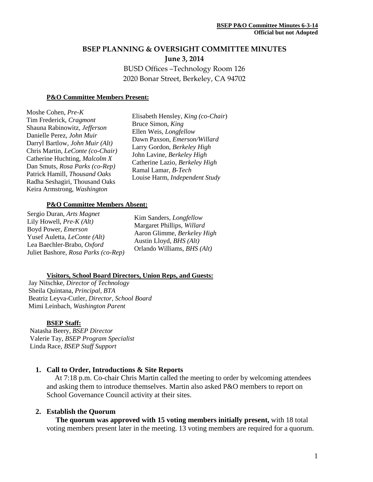# **BSEP PLANNING & OVERSIGHT COMMITTEE MINUTES June 3, 2014** BUSD Offices –Technology Room 126 2020 Bonar Street, Berkeley, CA 94702

#### **P&O Committee Members Present:**

Moshe Cohen, *Pre-K* Tim Frederick, *Cragmont* Shauna Rabinowitz, *Jefferson* Danielle Perez, *John Muir* Darryl Bartlow, *John Muir (Alt)* Chris Martin, *LeConte (co-Chair)* Catherine Huchting, *Malcolm X* Dan Smuts, *Rosa Parks (co-Rep)* Patrick Hamill, *Thousand Oaks* Radha Seshagiri, Thousand Oaks Keira Armstrong, *Washington*

Elisabeth Hensley*, King (co-Chair*) Bruce Simon, *King* Ellen Weis, *Longfellow* Dawn Paxson, *Emerson/Willard* Larry Gordon, *Berkeley High* John Lavine, *Berkeley High* Catherine Lazio, *Berkeley High* Ramal Lamar*, B-Tech* Louise Harm, *Independent Study*

#### **P&O Committee Members Absent:**

Sergio Duran, *Arts Magnet* Lily Howell, *Pre-K (Alt)* Boyd Power, *Emerson* Yusef Auletta, *LeConte (Alt)* Lea Baechler-Brabo, *Oxford* Juliet Bashore, *Rosa Parks (co-Rep)*

Kim Sanders*, Longfellow* Margaret Phillips, *Willard* Aaron Glimme, *Berkeley High* Austin Lloyd, *BHS (Alt)* Orlando Williams, *BHS (Alt)*

#### **Visitors, School Board Directors, Union Reps, and Guests:**

Jay Nitschke*, Director of Technology* Sheila Quintana, *Principal, BTA* Beatriz Leyva-Cutler, *Director, School Board* Mimi Leinbach, *Washington Parent*

#### **BSEP Staff:**

 Natasha Beery, *BSEP Director* Valerie Tay, *BSEP Program Specialist* Linda Race, *BSEP Staff Support*

#### **1. Call to Order, Introductions & Site Reports**

At 7:18 p.m. Co-chair Chris Martin called the meeting to order by welcoming attendees and asking them to introduce themselves. Martin also asked P&O members to report on School Governance Council activity at their sites.

#### **2. Establish the Quorum**

 **The quorum was approved with 15 voting members initially present,** with 18 total voting members present later in the meeting. 13 voting members are required for a quorum.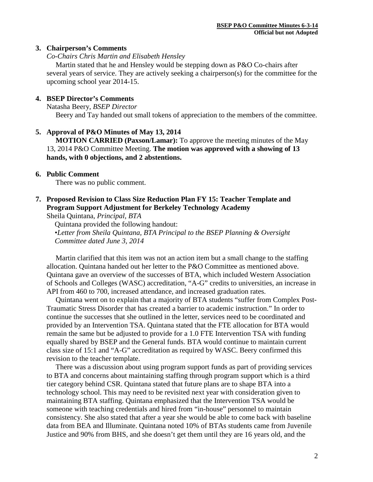### **3. Chairperson's Comments**

*Co-Chairs Chris Martin and Elisabeth Hensley*

 Martin stated that he and Hensley would be stepping down as P&O Co-chairs after several years of service. They are actively seeking a chairperson(s) for the committee for the upcoming school year 2014-15.

# **4. BSEP Director's Comments**

Natasha Beery*, BSEP Director* Beery and Tay handed out small tokens of appreciation to the members of the committee.

### **5. Approval of P&O Minutes of May 13, 2014**

 **MOTION CARRIED (Paxson/Lamar):** To approve the meeting minutes of the May 13, 2014 P&O Committee Meeting. **The motion was approved with a showing of 13 hands, with 0 objections, and 2 abstentions.**

### **6. Public Comment**

There was no public comment.

**7. Proposed Revision to Class Size Reduction Plan FY 15: Teacher Template and Program Support Adjustment for Berkeley Technology Academy**

Sheila Quintana, *Principal, BTA*

Quintana provided the following handout: •*Letter from Sheila Quintana, BTA Principal to the BSEP Planning & Oversight Committee dated June 3, 2014*

 Martin clarified that this item was not an action item but a small change to the staffing allocation. Quintana handed out her letter to the P&O Committee as mentioned above. Quintana gave an overview of the successes of BTA, which included Western Association of Schools and Colleges (WASC) accreditation, "A-G" credits to universities, an increase in API from 460 to 700, increased attendance, and increased graduation rates.

 Quintana went on to explain that a majority of BTA students "suffer from Complex Post-Traumatic Stress Disorder that has created a barrier to academic instruction." In order to continue the successes that she outlined in the letter, services need to be coordinated and provided by an Intervention TSA. Quintana stated that the FTE allocation for BTA would remain the same but be adjusted to provide for a 1.0 FTE Intervention TSA with funding equally shared by BSEP and the General funds. BTA would continue to maintain current class size of 15:1 and "A-G" accreditation as required by WASC. Beery confirmed this revision to the teacher template.

 There was a discussion about using program support funds as part of providing services to BTA and concerns about maintaining staffing through program support which is a third tier category behind CSR. Quintana stated that future plans are to shape BTA into a technology school. This may need to be revisited next year with consideration given to maintaining BTA staffing. Quintana emphasized that the Intervention TSA would be someone with teaching credentials and hired from "in-house" personnel to maintain consistency. She also stated that after a year she would be able to come back with baseline data from BEA and Illuminate. Quintana noted 10% of BTAs students came from Juvenile Justice and 90% from BHS, and she doesn't get them until they are 16 years old, and the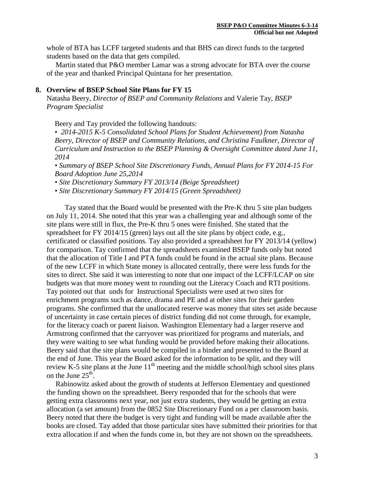whole of BTA has LCFF targeted students and that BHS can direct funds to the targeted students based on the data that gets compiled.

 Martin stated that P&O member Lamar was a strong advocate for BTA over the course of the year and thanked Principal Quintana for her presentation.

### **8. Overview of BSEP School Site Plans for FY 15**

Natasha Beery*, Director of BSEP and Community Relations* and Valerie Tay, *BSEP Program Specialist*

Beery and Tay provided the following handouts:

• *2014-2015 K-5 Consolidated School Plans for Student Achievement) from Natasha Beery, Director of BSEP and Community Relations, and Christina Faulkner, Director of Curriculum and Instruction to the BSEP Planning & Oversight Committee dated June 11, 2014*

*• Summary of BSEP School Site Discretionary Funds, Annual Plans for FY 2014-15 For Board Adoption June 25,2014*

*• Site Discretionary Summary FY 2013/14 (Beige Spreadsheet)*

*• Site Discretionary Summary FY 2014/15 (Green Spreadsheet)*

 Tay stated that the Board would be presented with the Pre-K thru 5 site plan budgets on July 11, 2014. She noted that this year was a challenging year and although some of the site plans were still in flux, the Pre-K thru 5 ones were finished. She stated that the spreadsheet for FY 2014/15 (green) lays out all the site plans by object code, e.g., certificated or classified positions. Tay also provided a spreadsheet for FY 2013/14 (yellow) for comparison. Tay confirmed that the spreadsheets examined BSEP funds only but noted that the allocation of Title I and PTA funds could be found in the actual site plans. Because of the new LCFF in which State money is allocated centrally, there were less funds for the sites to direct. She said it was interesting to note that one impact of the LCFF/LCAP on site budgets was that more money went to rounding out the Literacy Coach and RTI positions. Tay pointed out that unds for Instructional Specialists were used at two sites for enrichment programs such as dance, drama and PE and at other sites for their garden programs. She confirmed that the unallocated reserve was money that sites set aside because of uncertainty in case certain pieces of district funding did not come through, for example, for the literacy coach or parent liaison. Washington Elementary had a larger reserve and Armstrong confirmed that the carryover was prioritized for programs and materials, and they were waiting to see what funding would be provided before making their allocations. Beery said that the site plans would be compiled in a binder and presented to the Board at the end of June. This year the Board asked for the information to be split, and they will review K-5 site plans at the June  $11<sup>th</sup>$  meeting and the middle school/high school sites plans on the June  $25<sup>th</sup>$ .

 Rabinowitz asked about the growth of students at Jefferson Elementary and questioned the funding shown on the spreadsheet. Beery responded that for the schools that were getting extra classrooms next year, not just extra students, they would be getting an extra allocation (a set amount) from the 0852 Site Discretionary Fund on a per classroom basis. Beery noted that there the budget is very tight and funding will be made available after the books are closed. Tay added that those particular sites have submitted their priorities for that extra allocation if and when the funds come in, but they are not shown on the spreadsheets.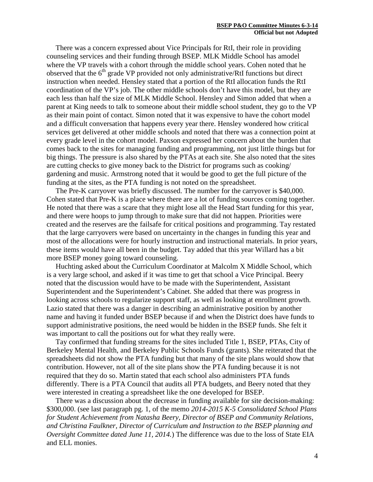There was a concern expressed about Vice Principals for RtI, their role in providing counseling services and their funding through BSEP. MLK Middle School has amodel where the VP travels with a cohort through the middle school years. Cohen noted that he observed that the  $6<sup>th</sup>$  grade VP provided not only administrative/RtI functions but direct instruction when needed. Hensley stated that a portion of the RtI allocation funds the RtI coordination of the VP's job. The other middle schools don't have this model, but they are each less than half the size of MLK Middle School. Hensley and Simon added that when a parent at King needs to talk to someone about their middle school student, they go to the VP as their main point of contact. Simon noted that it was expensive to have the cohort model and a difficult conversation that happens every year there. Hensley wondered how critical services get delivered at other middle schools and noted that there was a connection point at every grade level in the cohort model. Paxson expressed her concern about the burden that comes back to the sites for managing funding and programming, not just little things but for big things. The pressure is also shared by the PTAs at each site. She also noted that the sites are cutting checks to give money back to the District for programs such as cooking/ gardening and music. Armstrong noted that it would be good to get the full picture of the funding at the sites, as the PTA funding is not noted on the spreadsheet.

 The Pre-K carryover was briefly discussed. The number for the carryover is \$40,000. Cohen stated that Pre-K is a place where there are a lot of funding sources coming together. He noted that there was a scare that they might lose all the Head Start funding for this year, and there were hoops to jump through to make sure that did not happen. Priorities were created and the reserves are the failsafe for critical positions and programming. Tay restated that the large carryovers were based on uncertainty in the changes in funding this year and most of the allocations were for hourly instruction and instructional materials. In prior years, these items would have all been in the budget. Tay added that this year Willard has a bit more BSEP money going toward counseling.

 Huchting asked about the Curriculum Coordinator at Malcolm X Middle School, which is a very large school, and asked if it was time to get that school a Vice Principal. Beery noted that the discussion would have to be made with the Superintendent, Assistant Superintendent and the Superintendent's Cabinet. She added that there was progress in looking across schools to regularize support staff, as well as looking at enrollment growth. Lazio stated that there was a danger in describing an administrative position by another name and having it funded under BSEP because if and when the District does have funds to support administrative positions, the need would be hidden in the BSEP funds. She felt it was important to call the positions out for what they really were.

 Tay confirmed that funding streams for the sites included Title 1, BSEP, PTAs, City of Berkeley Mental Health, and Berkeley Public Schools Funds (grants). She reiterated that the spreadsheets did not show the PTA funding but that many of the site plans would show that contribution. However, not all of the site plans show the PTA funding because it is not required that they do so. Martin stated that each school also administers PTA funds differently. There is a PTA Council that audits all PTA budgets, and Beery noted that they were interested in creating a spreadsheet like the one developed for BSEP.

 There was a discussion about the decrease in funding available for site decision-making: \$300,000. (see last paragraph pg. 1, of the memo *2014-2015 K-5 Consolidated School Plans for Student Achievement from Natasha Beery, Director of BSEP and Community Relations, and Christina Faulkner, Director of Curriculum and Instruction to the BSEP planning and Oversight Committee dated June 11, 2014.*) The difference was due to the loss of State EIA and ELL monies.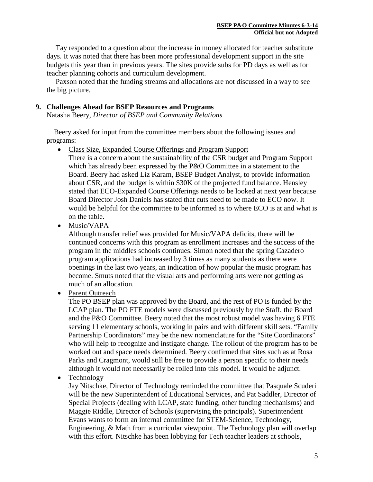Tay responded to a question about the increase in money allocated for teacher substitute days. It was noted that there has been more professional development support in the site budgets this year than in previous years. The sites provide subs for PD days as well as for teacher planning cohorts and curriculum development.

 Paxson noted that the funding streams and allocations are not discussed in a way to see the big picture.

# **9. Challenges Ahead for BSEP Resources and Programs**

Natasha Beery*, Director of BSEP and Community Relations*

 Beery asked for input from the committee members about the following issues and programs:

• Class Size, Expanded Course Offerings and Program Support

There is a concern about the sustainability of the CSR budget and Program Support which has already been expressed by the P&O Committee in a statement to the Board. Beery had asked Liz Karam, BSEP Budget Analyst, to provide information about CSR, and the budget is within \$30K of the projected fund balance. Hensley stated that ECO-Expanded Course Offerings needs to be looked at next year because Board Director Josh Daniels has stated that cuts need to be made to ECO now. It would be helpful for the committee to be informed as to where ECO is at and what is on the table.

• Music/VAPA

Although transfer relief was provided for Music/VAPA deficits, there will be continued concerns with this program as enrollment increases and the success of the program in the middles schools continues. Simon noted that the spring Cazadero program applications had increased by 3 times as many students as there were openings in the last two years, an indication of how popular the music program has become. Smuts noted that the visual arts and performing arts were not getting as much of an allocation.

• Parent Outreach

The PO BSEP plan was approved by the Board, and the rest of PO is funded by the LCAP plan. The PO FTE models were discussed previously by the Staff, the Board and the P&O Committee. Beery noted that the most robust model was having 6 FTE serving 11 elementary schools, working in pairs and with different skill sets. "Family Partnership Coordinators" may be the new nomenclature for the "Site Coordinators" who will help to recognize and instigate change. The rollout of the program has to be worked out and space needs determined. Beery confirmed that sites such as at Rosa Parks and Cragmont, would still be free to provide a person specific to their needs although it would not necessarily be rolled into this model. It would be adjunct.

• Technology

Jay Nitschke, Director of Technology reminded the committee that Pasquale Scuderi will be the new Superintendent of Educational Services, and Pat Saddler, Director of Special Projects (dealing with LCAP, state funding, other funding mechanisms) and Maggie Riddle, Director of Schools (supervising the principals). Superintendent Evans wants to form an internal committee for STEM-Science, Technology, Engineering, & Math from a curricular viewpoint. The Technology plan will overlap with this effort. Nitschke has been lobbying for Tech teacher leaders at schools,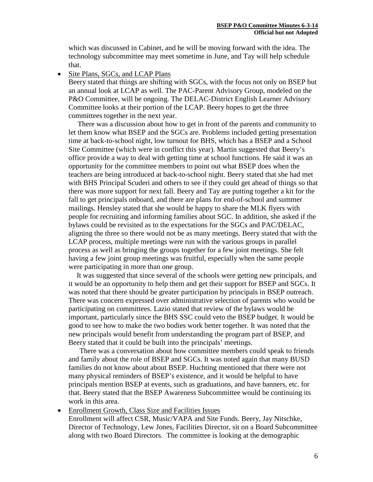which was discussed in Cabinet, and he will be moving forward with the idea. The technology subcommittee may meet sometime in June, and Tay will help schedule that.

• Site Plans, SGCs, and LCAP Plans

Beery stated that things are shifting with SGCs, with the focus not only on BSEP but an annual look at LCAP as well. The PAC-Parent Advisory Group, modeled on the P&O Committee, will be ongoing. The DELAC-District English Learner Advisory Committee looks at their portion of the LCAP. Beery hopes to get the three committees together in the next year.

 There was a discussion about how to get in front of the parents and community to let them know what BSEP and the SGCs are. Problems included getting presentation time at back-to-school night, low turnout for BHS, which has a BSEP and a School Site Committee (which were in conflict this year). Martin suggested that Beery's office provide a way to deal with getting time at school functions. He said it was an opportunity for the committee members to point out what BSEP does when the teachers are being introduced at back-to-school night. Beery stated that she had met with BHS Principal Scuderi and others to see if they could get ahead of things so that there was more support for next fall. Beery and Tay are putting together a kit for the fall to get principals onboard, and there are plans for end-of-school and summer mailings. Hensley stated that she would be happy to share the MLK flyers with people for recruiting and informing families about SGC. In addition, she asked if the bylaws could be revisited as to the expectations for the SGCs and PAC/DELAC, aligning the three so there would not be as many meetings. Beery stated that with the LCAP process, multiple meetings were run with the various groups in parallel process as well as bringing the groups together for a few joint meetings. She felt having a few joint group meetings was fruitful, especially when the same people were participating in more than one group.

It was suggested that since several of the schools were getting new principals, and it would be an opportunity to help them and get their support for BSEP and SGCs. It was noted that there should be greater participation by principals in BSEP outreach. There was concern expressed over administrative selection of parents who would be participating on committees. Lazio stated that review of the bylaws would be important, particularly since the BHS SSC could veto the BSEP budget. It would be good to see how to make the two bodies work better together. It was noted that the new principals would benefit from understanding the program part of BSEP, and Beery stated that it could be built into the principals' meetings.

 There was a conversation about how committee members could speak to friends and family about the role of BSEP and SGCs. It was noted again that many BUSD families do not know about about BSEP. Huchting mentioned that there were not many physical reminders of BSEP's existence, and it would be helpful to have principals mention BSEP at events, such as graduations, and have banners, etc. for that. Beery stated that the BSEP Awareness Subcommittee would be continuing its work in this area.

• Enrollment Growth, Class Size and Facilities Issues

Enrollment will affect CSR, Music/VAPA and Site Funds. Beery, Jay Nitschke, Director of Technology, Lew Jones, Facilities Director, sit on a Board Subcommittee along with two Board Directors. The committee is looking at the demographic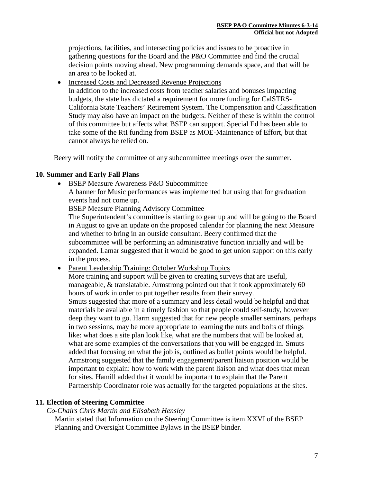projections, facilities, and intersecting policies and issues to be proactive in gathering questions for the Board and the P&O Committee and find the crucial decision points moving ahead. New programming demands space, and that will be an area to be looked at.

- Increased Costs and Decreased Revenue Projections
	- In addition to the increased costs from teacher salaries and bonuses impacting budgets, the state has dictated a requirement for more funding for CalSTRS-California State Teachers' Retirement System. The Compensation and Classification Study may also have an impact on the budgets. Neither of these is within the control of this committee but affects what BSEP can support. Special Ed has been able to take some of the RtI funding from BSEP as MOE-Maintenance of Effort, but that cannot always be relied on.

Beery will notify the committee of any subcommittee meetings over the summer.

### **10. Summer and Early Fall Plans**

• BSEP Measure Awareness P&O Subcommittee

A banner for Music performances was implemented but using that for graduation events had not come up.

BSEP Measure Planning Advisory Committee

The Superintendent's committee is starting to gear up and will be going to the Board in August to give an update on the proposed calendar for planning the next Measure and whether to bring in an outside consultant. Beery confirmed that the subcommittee will be performing an administrative function initially and will be expanded. Lamar suggested that it would be good to get union support on this early in the process.

• Parent Leadership Training: October Workshop Topics

More training and support will be given to creating surveys that are useful, manageable, & translatable. Armstrong pointed out that it took approximately 60 hours of work in order to put together results from their survey.

Smuts suggested that more of a summary and less detail would be helpful and that materials be available in a timely fashion so that people could self-study, however deep they want to go. Harm suggested that for new people smaller seminars, perhaps in two sessions, may be more appropriate to learning the nuts and bolts of things like: what does a site plan look like, what are the numbers that will be looked at, what are some examples of the conversations that you will be engaged in. Smuts added that focusing on what the job is, outlined as bullet points would be helpful. Armstrong suggested that the family engagement/parent liaison position would be important to explain: how to work with the parent liaison and what does that mean for sites. Hamill added that it would be important to explain that the Parent Partnership Coordinator role was actually for the targeted populations at the sites.

# **11. Election of Steering Committee**

# *Co-Chairs Chris Martin and Elisabeth Hensley*

Martin stated that Information on the Steering Committee is item XXVI of the BSEP Planning and Oversight Committee Bylaws in the BSEP binder.